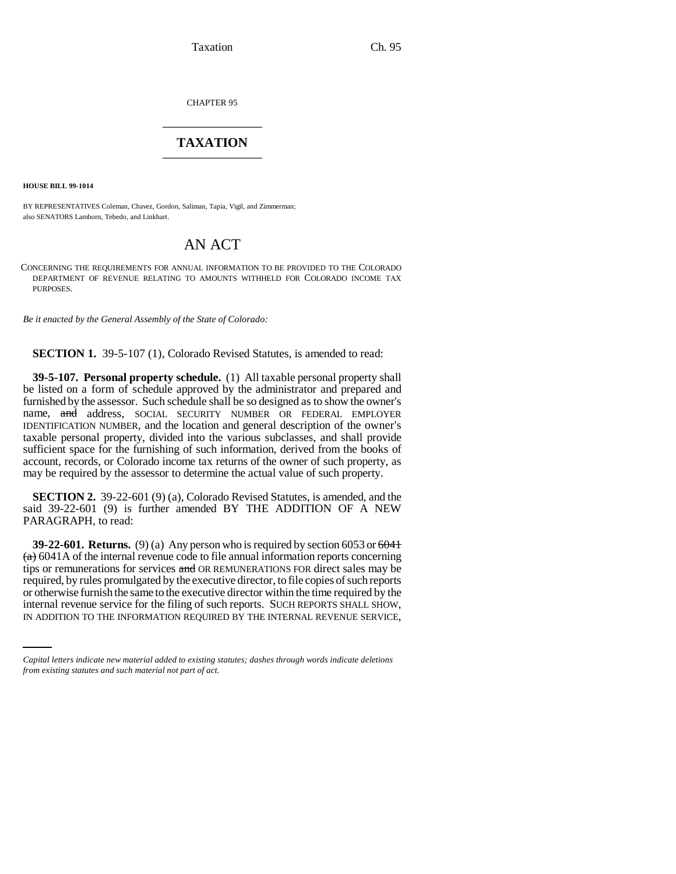CHAPTER 95 \_\_\_\_\_\_\_\_\_\_\_\_\_\_\_

## **TAXATION** \_\_\_\_\_\_\_\_\_\_\_\_\_\_\_

**HOUSE BILL 99-1014**

BY REPRESENTATIVES Coleman, Chavez, Gordon, Saliman, Tapia, Vigil, and Zimmerman; also SENATORS Lamborn, Tebedo, and Linkhart.

## AN ACT

CONCERNING THE REQUIREMENTS FOR ANNUAL INFORMATION TO BE PROVIDED TO THE COLORADO DEPARTMENT OF REVENUE RELATING TO AMOUNTS WITHHELD FOR COLORADO INCOME TAX PURPOSES.

*Be it enacted by the General Assembly of the State of Colorado:*

**SECTION 1.** 39-5-107 (1), Colorado Revised Statutes, is amended to read:

**39-5-107. Personal property schedule.** (1) All taxable personal property shall be listed on a form of schedule approved by the administrator and prepared and furnished by the assessor. Such schedule shall be so designed as to show the owner's name, and address, SOCIAL SECURITY NUMBER OR FEDERAL EMPLOYER IDENTIFICATION NUMBER, and the location and general description of the owner's taxable personal property, divided into the various subclasses, and shall provide sufficient space for the furnishing of such information, derived from the books of account, records, or Colorado income tax returns of the owner of such property, as may be required by the assessor to determine the actual value of such property.

**SECTION 2.** 39-22-601 (9) (a), Colorado Revised Statutes, is amended, and the said 39-22-601 (9) is further amended BY THE ADDITION OF A NEW PARAGRAPH, to read:

or otherwise furnish the same to the executive director within the time required by the **39-22-601. Returns.** (9) (a) Any person who is required by section 6053 or 6041  $(a)$  6041A of the internal revenue code to file annual information reports concerning tips or remunerations for services and OR REMUNERATIONS FOR direct sales may be required, by rules promulgated by the executive director, to file copies of such reports internal revenue service for the filing of such reports. SUCH REPORTS SHALL SHOW, IN ADDITION TO THE INFORMATION REQUIRED BY THE INTERNAL REVENUE SERVICE,

*Capital letters indicate new material added to existing statutes; dashes through words indicate deletions from existing statutes and such material not part of act.*